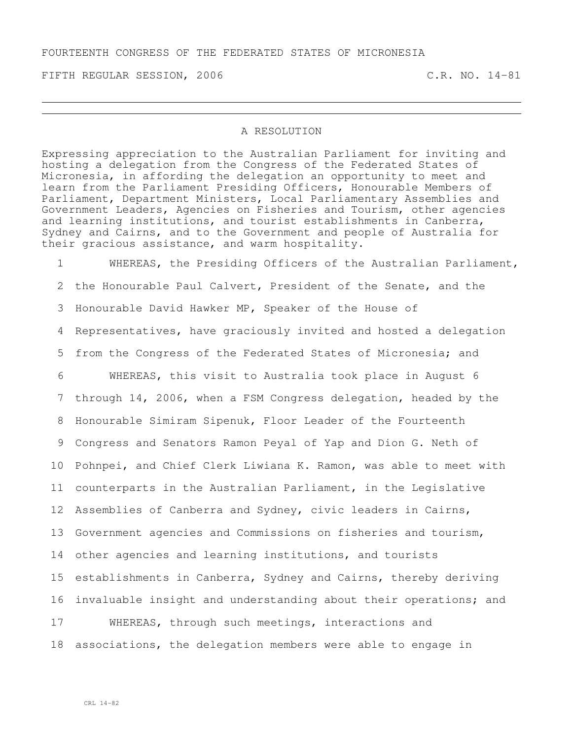FIFTH REGULAR SESSION, 2006 C.R. NO. 14-81

## A RESOLUTION

Expressing appreciation to the Australian Parliament for inviting and hosting a delegation from the Congress of the Federated States of Micronesia, in affording the delegation an opportunity to meet and learn from the Parliament Presiding Officers, Honourable Members of Parliament, Department Ministers, Local Parliamentary Assemblies and Government Leaders, Agencies on Fisheries and Tourism, other agencies and learning institutions, and tourist establishments in Canberra, Sydney and Cairns, and to the Government and people of Australia for their gracious assistance, and warm hospitality.

 WHEREAS, the Presiding Officers of the Australian Parliament, the Honourable Paul Calvert, President of the Senate, and the Honourable David Hawker MP, Speaker of the House of Representatives, have graciously invited and hosted a delegation from the Congress of the Federated States of Micronesia; and WHEREAS, this visit to Australia took place in August 6 through 14, 2006, when a FSM Congress delegation, headed by the Honourable Simiram Sipenuk, Floor Leader of the Fourteenth Congress and Senators Ramon Peyal of Yap and Dion G. Neth of Pohnpei, and Chief Clerk Liwiana K. Ramon, was able to meet with counterparts in the Australian Parliament, in the Legislative Assemblies of Canberra and Sydney, civic leaders in Cairns, Government agencies and Commissions on fisheries and tourism, other agencies and learning institutions, and tourists establishments in Canberra, Sydney and Cairns, thereby deriving invaluable insight and understanding about their operations; and WHEREAS, through such meetings, interactions and associations, the delegation members were able to engage in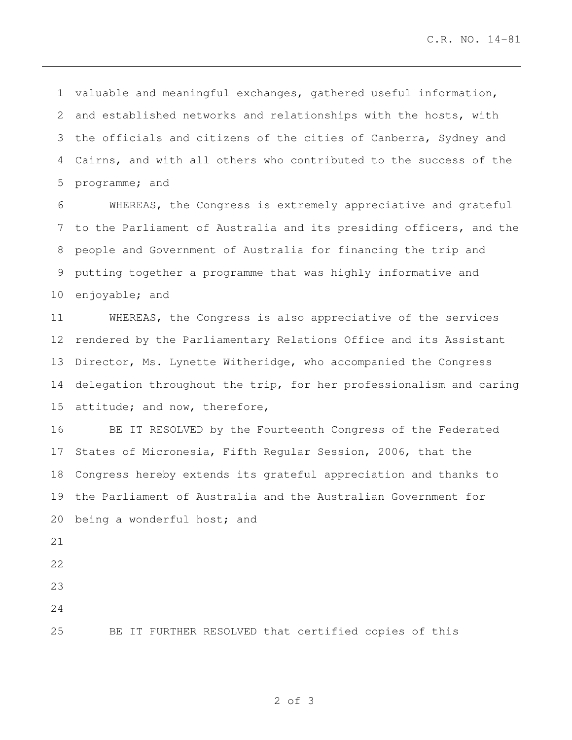valuable and meaningful exchanges, gathered useful information, and established networks and relationships with the hosts, with the officials and citizens of the cities of Canberra, Sydney and Cairns, and with all others who contributed to the success of the programme; and

 WHEREAS, the Congress is extremely appreciative and grateful to the Parliament of Australia and its presiding officers, and the people and Government of Australia for financing the trip and putting together a programme that was highly informative and enjoyable; and

 WHEREAS, the Congress is also appreciative of the services rendered by the Parliamentary Relations Office and its Assistant Director, Ms. Lynette Witheridge, who accompanied the Congress delegation throughout the trip, for her professionalism and caring attitude; and now, therefore,

 BE IT RESOLVED by the Fourteenth Congress of the Federated States of Micronesia, Fifth Regular Session, 2006, that the Congress hereby extends its grateful appreciation and thanks to the Parliament of Australia and the Australian Government for being a wonderful host; and

- 
- 

BE IT FURTHER RESOLVED that certified copies of this